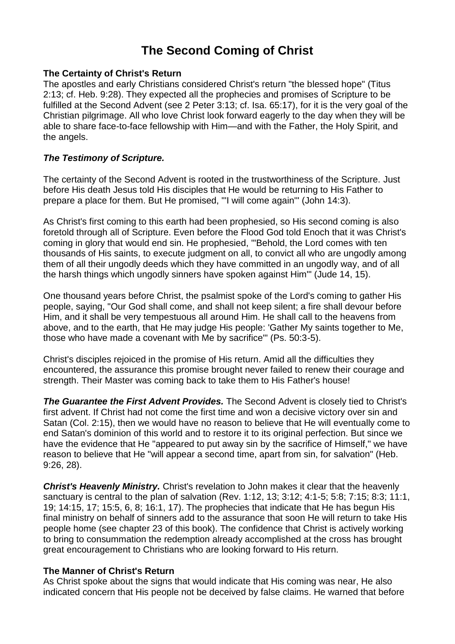# **The Second Coming of Christ**

#### **The Certainty of Christ's Return**

The apostles and early Christians considered Christ's return "the blessed hope" (Titus 2:13; cf. Heb. 9:28). They expected all the prophecies and promises of Scripture to be fulfilled at the Second Advent (see 2 Peter 3:13; cf. Isa. 65:17), for it is the very goal of the Christian pilgrimage. All who love Christ look forward eagerly to the day when they will be able to share face-to-face fellowship with Him—and with the Father, the Holy Spirit, and the angels.

### *The Testimony of Scripture.*

The certainty of the Second Advent is rooted in the trustworthiness of the Scripture. Just before His death Jesus told His disciples that He would be returning to His Father to prepare a place for them. But He promised, "'I will come again'" (John 14:3).

As Christ's first coming to this earth had been prophesied, so His second coming is also foretold through all of Scripture. Even before the Flood God told Enoch that it was Christ's coming in glory that would end sin. He prophesied, "'Behold, the Lord comes with ten thousands of His saints, to execute judgment on all, to convict all who are ungodly among them of all their ungodly deeds which they have committed in an ungodly way, and of all the harsh things which ungodly sinners have spoken against Him'" (Jude 14, 15).

One thousand years before Christ, the psalmist spoke of the Lord's coming to gather His people, saying, "Our God shall come, and shall not keep silent; a fire shall devour before Him, and it shall be very tempestuous all around Him. He shall call to the heavens from above, and to the earth, that He may judge His people: 'Gather My saints together to Me, those who have made a covenant with Me by sacrifice'" (Ps. 50:3-5).

Christ's disciples rejoiced in the promise of His return. Amid all the difficulties they encountered, the assurance this promise brought never failed to renew their courage and strength. Their Master was coming back to take them to His Father's house!

*The Guarantee the First Advent Provides.* The Second Advent is closely tied to Christ's first advent. If Christ had not come the first time and won a decisive victory over sin and Satan (Col. 2:15), then we would have no reason to believe that He will eventually come to end Satan's dominion of this world and to restore it to its original perfection. But since we have the evidence that He "appeared to put away sin by the sacrifice of Himself," we have reason to believe that He "will appear a second time, apart from sin, for salvation" (Heb. 9:26, 28).

*Christ's Heavenly Ministry.* Christ's revelation to John makes it clear that the heavenly sanctuary is central to the plan of salvation (Rev. 1:12, 13; 3:12; 4:1-5; 5:8; 7:15; 8:3; 11:1, 19; 14:15, 17; 15:5, 6, 8; 16:1, 17). The prophecies that indicate that He has begun His final ministry on behalf of sinners add to the assurance that soon He will return to take His people home (see chapter 23 of this book). The confidence that Christ is actively working to bring to consummation the redemption already accomplished at the cross has brought great encouragement to Christians who are looking forward to His return.

## **The Manner of Christ's Return**

As Christ spoke about the signs that would indicate that His coming was near, He also indicated concern that His people not be deceived by false claims. He warned that before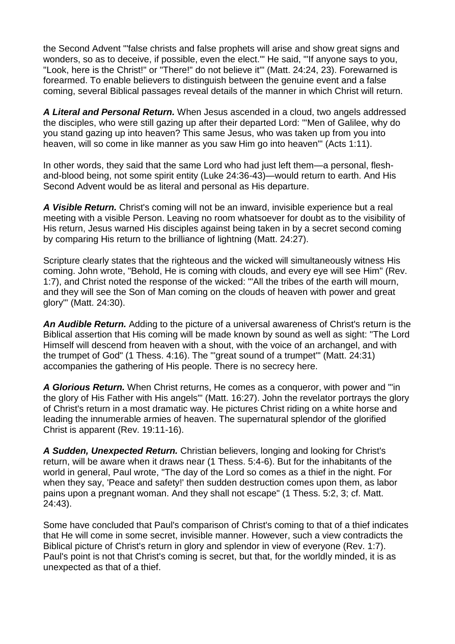the Second Advent "'false christs and false prophets will arise and show great signs and wonders, so as to deceive, if possible, even the elect.'" He said, "'If anyone says to you, "Look, here is the Christ!" or "There!" do not believe it'" (Matt. 24:24, 23). Forewarned is forearmed. To enable believers to distinguish between the genuine event and a false coming, several Biblical passages reveal details of the manner in which Christ will return.

*A Literal and Personal Return.* When Jesus ascended in a cloud, two angels addressed the disciples, who were still gazing up after their departed Lord: "'Men of Galilee, why do you stand gazing up into heaven? This same Jesus, who was taken up from you into heaven, will so come in like manner as you saw Him go into heaven'" (Acts 1:11).

In other words, they said that the same Lord who had just left them—a personal, fleshand-blood being, not some spirit entity (Luke 24:36-43)—would return to earth. And His Second Advent would be as literal and personal as His departure.

*A Visible Return.* Christ's coming will not be an inward, invisible experience but a real meeting with a visible Person. Leaving no room whatsoever for doubt as to the visibility of His return, Jesus warned His disciples against being taken in by a secret second coming by comparing His return to the brilliance of lightning (Matt. 24:27).

Scripture clearly states that the righteous and the wicked will simultaneously witness His coming. John wrote, "Behold, He is coming with clouds, and every eye will see Him" (Rev. 1:7), and Christ noted the response of the wicked: "'All the tribes of the earth will mourn, and they will see the Son of Man coming on the clouds of heaven with power and great glory'" (Matt. 24:30).

*An Audible Return.* Adding to the picture of a universal awareness of Christ's return is the Biblical assertion that His coming will be made known by sound as well as sight: "The Lord Himself will descend from heaven with a shout, with the voice of an archangel, and with the trumpet of God" (1 Thess. 4:16). The "'great sound of a trumpet'" (Matt. 24:31) accompanies the gathering of His people. There is no secrecy here.

*A Glorious Return.* When Christ returns, He comes as a conqueror, with power and "'in the glory of His Father with His angels'" (Matt. 16:27). John the revelator portrays the glory of Christ's return in a most dramatic way. He pictures Christ riding on a white horse and leading the innumerable armies of heaven. The supernatural splendor of the glorified Christ is apparent (Rev. 19:11-16).

*A Sudden, Unexpected Return.* Christian believers, longing and looking for Christ's return, will be aware when it draws near (1 Thess. 5:4-6). But for the inhabitants of the world in general, Paul wrote, "The day of the Lord so comes as a thief in the night. For when they say, 'Peace and safety!' then sudden destruction comes upon them, as labor pains upon a pregnant woman. And they shall not escape" (1 Thess. 5:2, 3; cf. Matt. 24:43).

Some have concluded that Paul's comparison of Christ's coming to that of a thief indicates that He will come in some secret, invisible manner. However, such a view contradicts the Biblical picture of Christ's return in glory and splendor in view of everyone (Rev. 1:7). Paul's point is not that Christ's coming is secret, but that, for the worldly minded, it is as unexpected as that of a thief.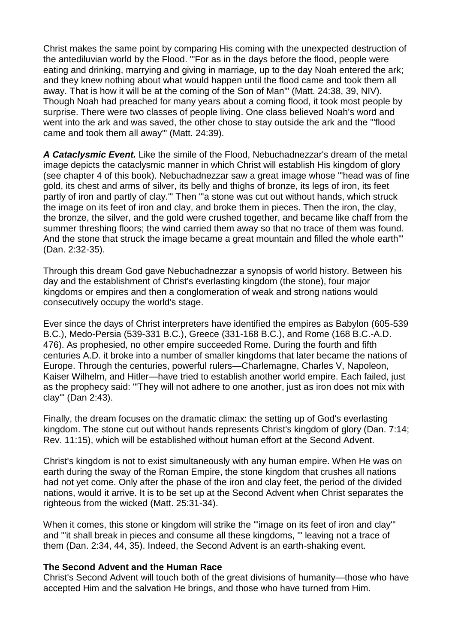Christ makes the same point by comparing His coming with the unexpected destruction of the antediluvian world by the Flood. "'For as in the days before the flood, people were eating and drinking, marrying and giving in marriage, up to the day Noah entered the ark; and they knew nothing about what would happen until the flood came and took them all away. That is how it will be at the coming of the Son of Man'" (Matt. 24:38, 39, NIV). Though Noah had preached for many years about a coming flood, it took most people by surprise. There were two classes of people living. One class believed Noah's word and went into the ark and was saved, the other chose to stay outside the ark and the "'flood came and took them all away'" (Matt. 24:39).

*A Cataclysmic Event.* Like the simile of the Flood, Nebuchadnezzar's dream of the metal image depicts the cataclysmic manner in which Christ will establish His kingdom of glory (see chapter 4 of this book). Nebuchadnezzar saw a great image whose "'head was of fine gold, its chest and arms of silver, its belly and thighs of bronze, its legs of iron, its feet partly of iron and partly of clay.'" Then "'a stone was cut out without hands, which struck the image on its feet of iron and clay, and broke them in pieces. Then the iron, the clay, the bronze, the silver, and the gold were crushed together, and became like chaff from the summer threshing floors; the wind carried them away so that no trace of them was found. And the stone that struck the image became a great mountain and filled the whole earth'" (Dan. 2:32-35).

Through this dream God gave Nebuchadnezzar a synopsis of world history. Between his day and the establishment of Christ's everlasting kingdom (the stone), four major kingdoms or empires and then a conglomeration of weak and strong nations would consecutively occupy the world's stage.

Ever since the days of Christ interpreters have identified the empires as Babylon (605-539 B.C.), Medo-Persia (539-331 B.C.), Greece (331-168 B.C.), and Rome (168 B.C.-A.D. 476). As prophesied, no other empire succeeded Rome. During the fourth and fifth centuries A.D. it broke into a number of smaller kingdoms that later became the nations of Europe. Through the centuries, powerful rulers—Charlemagne, Charles V, Napoleon, Kaiser Wilhelm, and Hitler—have tried to establish another world empire. Each failed, just as the prophecy said: "'They will not adhere to one another, just as iron does not mix with clay'" (Dan 2:43).

Finally, the dream focuses on the dramatic climax: the setting up of God's everlasting kingdom. The stone cut out without hands represents Christ's kingdom of glory (Dan. 7:14; Rev. 11:15), which will be established without human effort at the Second Advent.

Christ's kingdom is not to exist simultaneously with any human empire. When He was on earth during the sway of the Roman Empire, the stone kingdom that crushes all nations had not yet come. Only after the phase of the iron and clay feet, the period of the divided nations, would it arrive. It is to be set up at the Second Advent when Christ separates the righteous from the wicked (Matt. 25:31-34).

When it comes, this stone or kingdom will strike the "'image on its feet of iron and clay'" and "'it shall break in pieces and consume all these kingdoms, '" leaving not a trace of them (Dan. 2:34, 44, 35). Indeed, the Second Advent is an earth-shaking event.

#### **The Second Advent and the Human Race**

Christ's Second Advent will touch both of the great divisions of humanity—those who have accepted Him and the salvation He brings, and those who have turned from Him.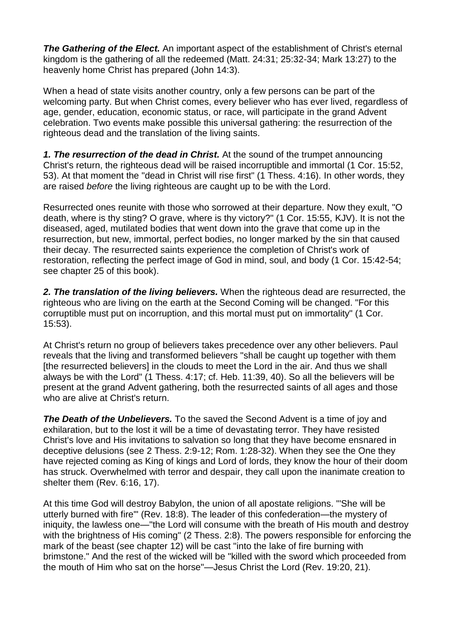**The Gathering of the Elect.** An important aspect of the establishment of Christ's eternal kingdom is the gathering of all the redeemed (Matt. 24:31; 25:32-34; Mark 13:27) to the heavenly home Christ has prepared (John 14:3).

When a head of state visits another country, only a few persons can be part of the welcoming party. But when Christ comes, every believer who has ever lived, regardless of age, gender, education, economic status, or race, will participate in the grand Advent celebration. Two events make possible this universal gathering: the resurrection of the righteous dead and the translation of the living saints.

*1. The resurrection of the dead in Christ.* At the sound of the trumpet announcing Christ's return, the righteous dead will be raised incorruptible and immortal (1 Cor. 15:52, 53). At that moment the "dead in Christ will rise first" (1 Thess. 4:16). In other words, they are raised *before* the living righteous are caught up to be with the Lord.

Resurrected ones reunite with those who sorrowed at their departure. Now they exult, "O death, where is thy sting? O grave, where is thy victory?" (1 Cor. 15:55, KJV). It is not the diseased, aged, mutilated bodies that went down into the grave that come up in the resurrection, but new, immortal, perfect bodies, no longer marked by the sin that caused their decay. The resurrected saints experience the completion of Christ's work of restoration, reflecting the perfect image of God in mind, soul, and body (1 Cor. 15:42-54; see chapter 25 of this book).

*2. The translation of the living believers.* When the righteous dead are resurrected, the righteous who are living on the earth at the Second Coming will be changed. "For this corruptible must put on incorruption, and this mortal must put on immortality" (1 Cor. 15:53).

At Christ's return no group of believers takes precedence over any other believers. Paul reveals that the living and transformed believers "shall be caught up together with them [the resurrected believers] in the clouds to meet the Lord in the air. And thus we shall always be with the Lord" (1 Thess. 4:17; cf. Heb. 11:39, 40). So all the believers will be present at the grand Advent gathering, both the resurrected saints of all ages and those who are alive at Christ's return.

*The Death of the Unbelievers.* To the saved the Second Advent is a time of joy and exhilaration, but to the lost it will be a time of devastating terror. They have resisted Christ's love and His invitations to salvation so long that they have become ensnared in deceptive delusions (see 2 Thess. 2:9-12; Rom. 1:28-32). When they see the One they have rejected coming as King of kings and Lord of lords, they know the hour of their doom has struck. Overwhelmed with terror and despair, they call upon the inanimate creation to shelter them (Rev. 6:16, 17).

At this time God will destroy Babylon, the union of all apostate religions. "'She will be utterly burned with fire'" (Rev. 18:8). The leader of this confederation—the mystery of iniquity, the lawless one—"the Lord will consume with the breath of His mouth and destroy with the brightness of His coming" (2 Thess. 2:8). The powers responsible for enforcing the mark of the beast (see chapter 12) will be cast "into the lake of fire burning with brimstone." And the rest of the wicked will be "killed with the sword which proceeded from the mouth of Him who sat on the horse"—Jesus Christ the Lord (Rev. 19:20, 21).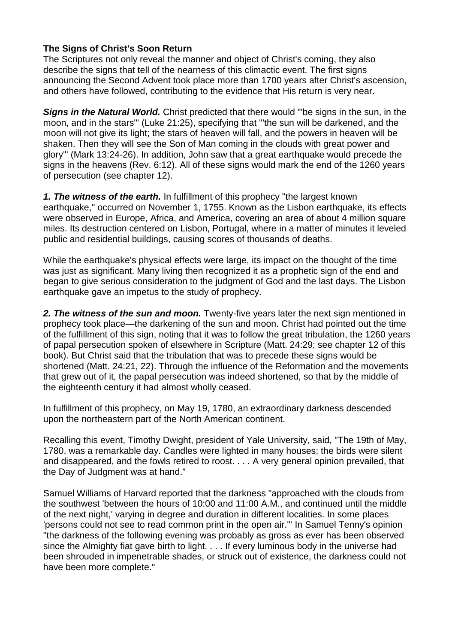## **The Signs of Christ's Soon Return**

The Scriptures not only reveal the manner and object of Christ's coming, they also describe the signs that tell of the nearness of this climactic event. The first signs announcing the Second Advent took place more than 1700 years after Christ's ascension, and others have followed, contributing to the evidence that His return is very near.

*Signs in the Natural World.* Christ predicted that there would "'be signs in the sun, in the moon, and in the stars'" (Luke 21:25), specifying that "'the sun will be darkened, and the moon will not give its light; the stars of heaven will fall, and the powers in heaven will be shaken. Then they will see the Son of Man coming in the clouds with great power and glory'" (Mark 13:24-26). In addition, John saw that a great earthquake would precede the signs in the heavens (Rev. 6:12). All of these signs would mark the end of the 1260 years of persecution (see chapter 12).

*1. The witness of the earth.* In fulfillment of this prophecy "the largest known earthquake," occurred on November 1, 1755. Known as the Lisbon earthquake, its effects were observed in Europe, Africa, and America, covering an area of about 4 million square miles. Its destruction centered on Lisbon, Portugal, where in a matter of minutes it leveled public and residential buildings, causing scores of thousands of deaths.

While the earthquake's physical effects were large, its impact on the thought of the time was just as significant. Many living then recognized it as a prophetic sign of the end and began to give serious consideration to the judgment of God and the last days. The Lisbon earthquake gave an impetus to the study of prophecy.

*2. The witness of the sun and moon.* Twenty-five years later the next sign mentioned in prophecy took place—the darkening of the sun and moon. Christ had pointed out the time of the fulfillment of this sign, noting that it was to follow the great tribulation, the 1260 years of papal persecution spoken of elsewhere in Scripture (Matt. 24:29; see chapter 12 of this book). But Christ said that the tribulation that was to precede these signs would be shortened (Matt. 24:21, 22). Through the influence of the Reformation and the movements that grew out of it, the papal persecution was indeed shortened, so that by the middle of the eighteenth century it had almost wholly ceased.

In fulfillment of this prophecy, on May 19, 1780, an extraordinary darkness descended upon the northeastern part of the North American continent.

Recalling this event, Timothy Dwight, president of Yale University, said, "The 19th of May, 1780, was a remarkable day. Candles were lighted in many houses; the birds were silent and disappeared, and the fowls retired to roost. . . . A very general opinion prevailed, that the Day of Judgment was at hand."

Samuel Williams of Harvard reported that the darkness "approached with the clouds from the southwest 'between the hours of 10:00 and 11:00 A.M., and continued until the middle of the next night,' varying in degree and duration in different localities. In some places 'persons could not see to read common print in the open air.'" In Samuel Tenny's opinion "the darkness of the following evening was probably as gross as ever has been observed since the Almighty fiat gave birth to light. . . . If every luminous body in the universe had been shrouded in impenetrable shades, or struck out of existence, the darkness could not have been more complete."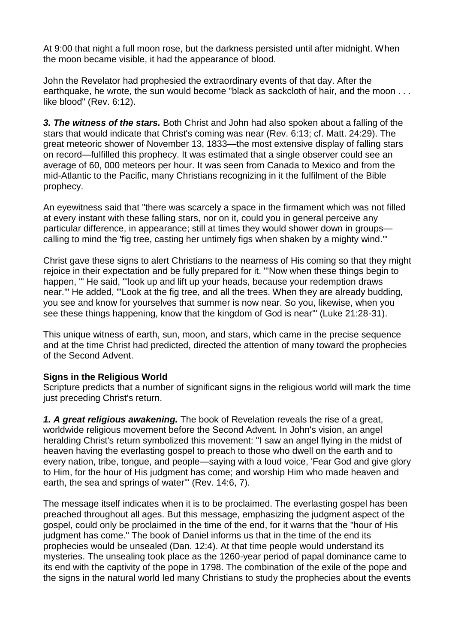At 9:00 that night a full moon rose, but the darkness persisted until after midnight. When the moon became visible, it had the appearance of blood.

John the Revelator had prophesied the extraordinary events of that day. After the earthquake, he wrote, the sun would become "black as sackcloth of hair, and the moon . . . like blood" (Rev. 6:12).

*3. The witness of the stars.* Both Christ and John had also spoken about a falling of the stars that would indicate that Christ's coming was near (Rev. 6:13; cf. Matt. 24:29). The great meteoric shower of November 13, 1833—the most extensive display of falling stars on record—fulfilled this prophecy. It was estimated that a single observer could see an average of 60, 000 meteors per hour. It was seen from Canada to Mexico and from the mid-Atlantic to the Pacific, many Christians recognizing in it the fulfilment of the Bible prophecy.

An eyewitness said that "there was scarcely a space in the firmament which was not filled at every instant with these falling stars, nor on it, could you in general perceive any particular difference, in appearance; still at times they would shower down in groups calling to mind the 'fig tree, casting her untimely figs when shaken by a mighty wind.'"

Christ gave these signs to alert Christians to the nearness of His coming so that they might rejoice in their expectation and be fully prepared for it. "'Now when these things begin to happen, '" He said, "'look up and lift up your heads, because your redemption draws near.'" He added, "'Look at the fig tree, and all the trees. When they are already budding, you see and know for yourselves that summer is now near. So you, likewise, when you see these things happening, know that the kingdom of God is near'" (Luke 21:28-31).

This unique witness of earth, sun, moon, and stars, which came in the precise sequence and at the time Christ had predicted, directed the attention of many toward the prophecies of the Second Advent.

#### **Signs in the Religious World**

Scripture predicts that a number of significant signs in the religious world will mark the time just preceding Christ's return.

*1. A great religious awakening.* The book of Revelation reveals the rise of a great, worldwide religious movement before the Second Advent. In John's vision, an angel heralding Christ's return symbolized this movement: "I saw an angel flying in the midst of heaven having the everlasting gospel to preach to those who dwell on the earth and to every nation, tribe, tongue, and people—saying with a loud voice, 'Fear God and give glory to Him, for the hour of His judgment has come; and worship Him who made heaven and earth, the sea and springs of water'" (Rev. 14:6, 7).

The message itself indicates when it is to be proclaimed. The everlasting gospel has been preached throughout all ages. But this message, emphasizing the judgment aspect of the gospel, could only be proclaimed in the time of the end, for it warns that the "hour of His judgment has come." The book of Daniel informs us that in the time of the end its prophecies would be unsealed (Dan. 12:4). At that time people would understand its mysteries. The unsealing took place as the 1260-year period of papal dominance came to its end with the captivity of the pope in 1798. The combination of the exile of the pope and the signs in the natural world led many Christians to study the prophecies about the events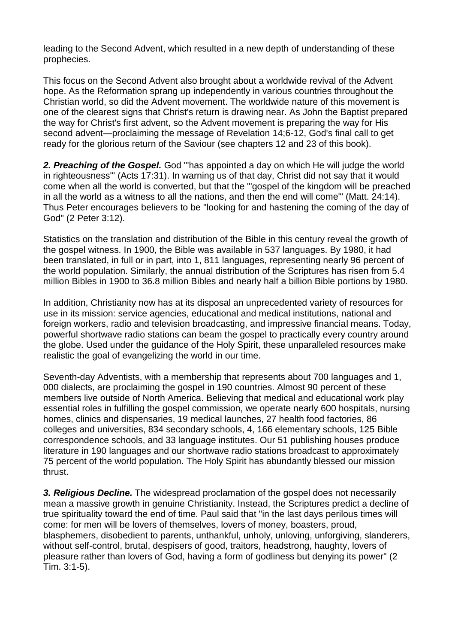leading to the Second Advent, which resulted in a new depth of understanding of these prophecies.

This focus on the Second Advent also brought about a worldwide revival of the Advent hope. As the Reformation sprang up independently in various countries throughout the Christian world, so did the Advent movement. The worldwide nature of this movement is one of the clearest signs that Christ's return is drawing near. As John the Baptist prepared the way for Christ's first advent, so the Advent movement is preparing the way for His second advent—proclaiming the message of Revelation 14;6-12, God's final call to get ready for the glorious return of the Saviour (see chapters 12 and 23 of this book).

*2. Preaching of the Gospel.* God "'has appointed a day on which He will judge the world in righteousness'" (Acts 17:31). In warning us of that day, Christ did not say that it would come when all the world is converted, but that the "'gospel of the kingdom will be preached in all the world as a witness to all the nations, and then the end will come'" (Matt. 24:14). Thus Peter encourages believers to be "looking for and hastening the coming of the day of God" (2 Peter 3:12).

Statistics on the translation and distribution of the Bible in this century reveal the growth of the gospel witness. In 1900, the Bible was available in 537 languages. By 1980, it had been translated, in full or in part, into 1, 811 languages, representing nearly 96 percent of the world population. Similarly, the annual distribution of the Scriptures has risen from 5.4 million Bibles in 1900 to 36.8 million Bibles and nearly half a billion Bible portions by 1980.

In addition, Christianity now has at its disposal an unprecedented variety of resources for use in its mission: service agencies, educational and medical institutions, national and foreign workers, radio and television broadcasting, and impressive financial means. Today, powerful shortwave radio stations can beam the gospel to practically every country around the globe. Used under the guidance of the Holy Spirit, these unparalleled resources make realistic the goal of evangelizing the world in our time.

Seventh-day Adventists, with a membership that represents about 700 languages and 1, 000 dialects, are proclaiming the gospel in 190 countries. Almost 90 percent of these members live outside of North America. Believing that medical and educational work play essential roles in fulfilling the gospel commission, we operate nearly 600 hospitals, nursing homes, clinics and dispensaries, 19 medical launches, 27 health food factories, 86 colleges and universities, 834 secondary schools, 4, 166 elementary schools, 125 Bible correspondence schools, and 33 language institutes. Our 51 publishing houses produce literature in 190 languages and our shortwave radio stations broadcast to approximately 75 percent of the world population. The Holy Spirit has abundantly blessed our mission thrust.

*3. Religious Decline.* The widespread proclamation of the gospel does not necessarily mean a massive growth in genuine Christianity. Instead, the Scriptures predict a decline of true spirituality toward the end of time. Paul said that "in the last days perilous times will come: for men will be lovers of themselves, lovers of money, boasters, proud, blasphemers, disobedient to parents, unthankful, unholy, unloving, unforgiving, slanderers, without self-control, brutal, despisers of good, traitors, headstrong, haughty, lovers of pleasure rather than lovers of God, having a form of godliness but denying its power" (2 Tim. 3:1-5).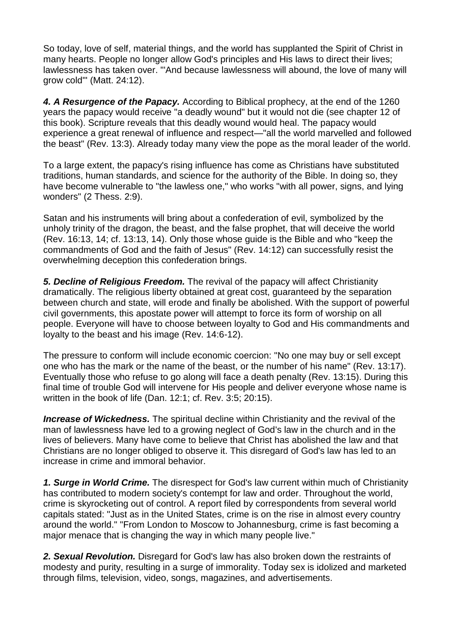So today, love of self, material things, and the world has supplanted the Spirit of Christ in many hearts. People no longer allow God's principles and His laws to direct their lives; lawlessness has taken over. "'And because lawlessness will abound, the love of many will grow cold'" (Matt. 24:12).

*4. A Resurgence of the Papacy.* According to Biblical prophecy, at the end of the 1260 years the papacy would receive "a deadly wound" but it would not die (see chapter 12 of this book). Scripture reveals that this deadly wound would heal. The papacy would experience a great renewal of influence and respect—"all the world marvelled and followed the beast" (Rev. 13:3). Already today many view the pope as the moral leader of the world.

To a large extent, the papacy's rising influence has come as Christians have substituted traditions, human standards, and science for the authority of the Bible. In doing so, they have become vulnerable to "the lawless one," who works "with all power, signs, and lying wonders" (2 Thess. 2:9).

Satan and his instruments will bring about a confederation of evil, symbolized by the unholy trinity of the dragon, the beast, and the false prophet, that will deceive the world (Rev. 16:13, 14; cf. 13:13, 14). Only those whose guide is the Bible and who "keep the commandments of God and the faith of Jesus" (Rev. 14:12) can successfully resist the overwhelming deception this confederation brings.

*5. Decline of Religious Freedom.* The revival of the papacy will affect Christianity dramatically. The religious liberty obtained at great cost, guaranteed by the separation between church and state, will erode and finally be abolished. With the support of powerful civil governments, this apostate power will attempt to force its form of worship on all people. Everyone will have to choose between loyalty to God and His commandments and loyalty to the beast and his image (Rev. 14:6-12).

The pressure to conform will include economic coercion: "No one may buy or sell except one who has the mark or the name of the beast, or the number of his name" (Rev. 13:17). Eventually those who refuse to go along will face a death penalty (Rev. 13:15). During this final time of trouble God will intervene for His people and deliver everyone whose name is written in the book of life (Dan. 12:1; cf. Rev. 3:5; 20:15).

**Increase of Wickedness.** The spiritual decline within Christianity and the revival of the man of lawlessness have led to a growing neglect of God's law in the church and in the lives of believers. Many have come to believe that Christ has abolished the law and that Christians are no longer obliged to observe it. This disregard of God's law has led to an increase in crime and immoral behavior.

*1. Surge in World Crime.* The disrespect for God's law current within much of Christianity has contributed to modern society's contempt for law and order. Throughout the world, crime is skyrocketing out of control. A report filed by correspondents from several world capitals stated: "Just as in the United States, crime is on the rise in almost every country around the world." "From London to Moscow to Johannesburg, crime is fast becoming a major menace that is changing the way in which many people live."

*2. Sexual Revolution.* Disregard for God's law has also broken down the restraints of modesty and purity, resulting in a surge of immorality. Today sex is idolized and marketed through films, television, video, songs, magazines, and advertisements.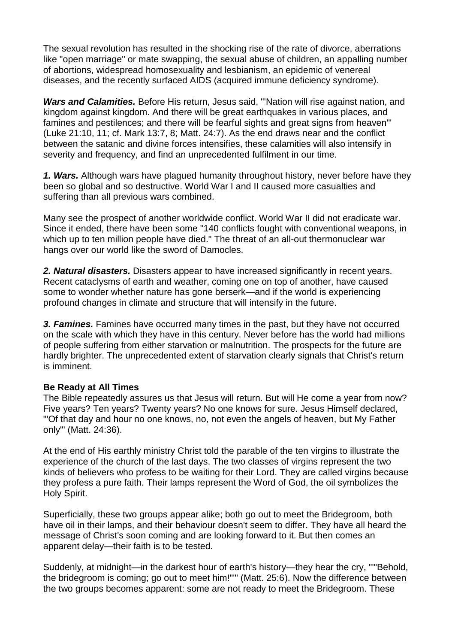The sexual revolution has resulted in the shocking rise of the rate of divorce, aberrations like "open marriage" or mate swapping, the sexual abuse of children, an appalling number of abortions, widespread homosexuality and lesbianism, an epidemic of venereal diseases, and the recently surfaced AIDS (acquired immune deficiency syndrome).

*Wars and Calamities.* Before His return, Jesus said, "'Nation will rise against nation, and kingdom against kingdom. And there will be great earthquakes in various places, and famines and pestilences; and there will be fearful sights and great signs from heaven'" (Luke 21:10, 11; cf. Mark 13:7, 8; Matt. 24:7). As the end draws near and the conflict between the satanic and divine forces intensifies, these calamities will also intensify in severity and frequency, and find an unprecedented fulfilment in our time.

*1. Wars.* Although wars have plagued humanity throughout history, never before have they been so global and so destructive. World War I and II caused more casualties and suffering than all previous wars combined.

Many see the prospect of another worldwide conflict. World War II did not eradicate war. Since it ended, there have been some "140 conflicts fought with conventional weapons, in which up to ten million people have died." The threat of an all-out thermonuclear war hangs over our world like the sword of Damocles.

*2. Natural disasters.* Disasters appear to have increased significantly in recent years. Recent cataclysms of earth and weather, coming one on top of another, have caused some to wonder whether nature has gone berserk—and if the world is experiencing profound changes in climate and structure that will intensify in the future.

*3. Famines.* Famines have occurred many times in the past, but they have not occurred on the scale with which they have in this century. Never before has the world had millions of people suffering from either starvation or malnutrition. The prospects for the future are hardly brighter. The unprecedented extent of starvation clearly signals that Christ's return is imminent.

#### **Be Ready at All Times**

The Bible repeatedly assures us that Jesus will return. But will He come a year from now? Five years? Ten years? Twenty years? No one knows for sure. Jesus Himself declared, "'Of that day and hour no one knows, no, not even the angels of heaven, but My Father only'" (Matt. 24:36).

At the end of His earthly ministry Christ told the parable of the ten virgins to illustrate the experience of the church of the last days. The two classes of virgins represent the two kinds of believers who profess to be waiting for their Lord. They are called virgins because they profess a pure faith. Their lamps represent the Word of God, the oil symbolizes the Holy Spirit.

Superficially, these two groups appear alike; both go out to meet the Bridegroom, both have oil in their lamps, and their behaviour doesn't seem to differ. They have all heard the message of Christ's soon coming and are looking forward to it. But then comes an apparent delay—their faith is to be tested.

Suddenly, at midnight—in the darkest hour of earth's history—they hear the cry, "'"Behold, the bridegroom is coming; go out to meet him!"'" (Matt. 25:6). Now the difference between the two groups becomes apparent: some are not ready to meet the Bridegroom. These